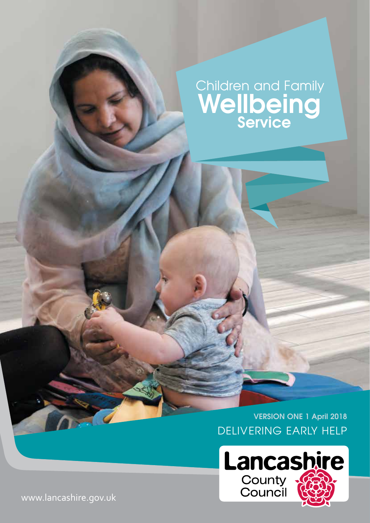# Wellbeing **Service** Children and Family

DELIVERING EARLY HELP **VERSION ONE 1 April 2018**



www.lancashire.gov.uk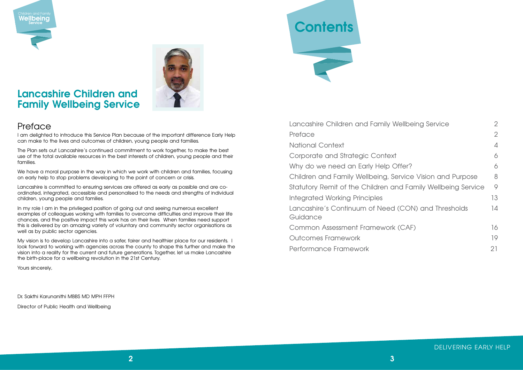National Context 4

Corporate and Strategic Context Why do we need an Early Help C Children and Family Wellbeing, Service 8 Statutory Remit of the Children and Family Remit of the Children Integrated Working Principles Lancashire's Continuum of Need Guidance

Common Assessment Framework

Outcomes Framework

Performance Framework

#### DELIVERING EARLY HELP

| <b>Vellbeing Service</b>    | $\overline{2}$ |
|-----------------------------|----------------|
|                             | $\overline{2}$ |
|                             | $\overline{A}$ |
|                             | 6              |
| <b>Offer?</b>               | 6              |
| ervice Vision and Purpose   | 8              |
| nd Family Wellbeing Service | 9              |
|                             | 13             |
| (CON) and Thresholds        | 14             |
| (CAF)                       | 16             |
|                             | 19             |
|                             | 21             |

# **Lancashire Children and Family Wellbeing Service**

## **Preface**

I am delighted to introduce this Service Plan because of the important difference Early Help can make to the lives and outcomes of children, young people and families.

The Plan sets out Lancashire's continued commitment to work together, to make the best use of the total available resources in the best interests of children, young people and their families.

In my role I am in the privileged position of going out and seeing numerous excellent examples of colleagues working with families to overcome difficulties and improve their life chances, and the positive impact this work has on their lives. When families need support this is delivered by an amazing variety of voluntary and community sector organisations as well as by public sector agencies.

We have a moral purpose in the way in which we work with children and families, focusing on early help to stop problems developing to the point of concern or crisis.

My vision is to develop Lancashire into a safer, fairer and healthier place for our residents. I look forward to working with agencies across the county to shape this further and make the vision into a reality for the current and future generations. Together, let us make Lancashire the birth-place for a wellbeing revolution in the 21st Century.

Lancashire is committed to ensuring services are offered as early as possible and are coordinated, integrated, accessible and personalised to the needs and strengths of individual children, young people and families.

Yours sincerely,

Dr. Sakthi Karunanithi MBBS MD MPH FFPH

Director of Public Health and Wellbeing

Lancashire Children and Family V Preface 2





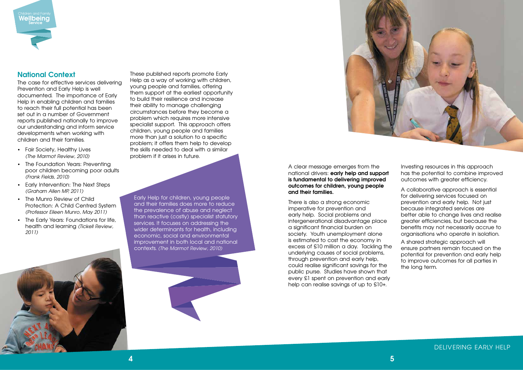### **National Context**

The case for effective services delivering Prevention and Early Help is well documented. The importance of Early Help in enabling children and families to reach their full potential has been set out in a number of Government reports published nationally to improve our understanding and inform service developments when working with children and their families.

- Fair Society, Healthy Lives *(The Marmot Review, 2010)*
- The Foundation Years: Preventing poor children becoming poor adults *(Frank Fields, 2010)*
- Early Intervention: The Next Steps *(Graham Allen MP, 2011)*
- The Munro Review of Child Protection: A Child Centred System *(Professor Eileen Munro, May 2011)*
- The Early Years: Foundations for life, health and learning *(Tickell Review, 2011)*



There is also a strong economic imperative for prevention and early help. Social problems and intergenerational disadvantage place a significant financial burden on society. Youth unemployment alone is estimated to cost the economy in excess of £10 million a day. Tackling the underlying causes of social problems, through prevention and early help, could realise significant savings for the public purse. Studies have shown that every £1 spent on prevention and early help can realise savinas of up to £10+.

These published reports promote Early Help as a way of working with children, young people and families, offering them support at the earliest opportunity to build their resilience and increase their ability to manage challenging circumstances before they become a problem which requires more intensive specialist support. This approach offers children, young people and families more than just a solution to a specific problem; it offers them help to develop the skills needed to deal with a similar problem if it arises in future.

> A clear message emerges from the national drivers: **early help and support is fundamental to delivering improved outcomes for children, young people and their families.**

Investing resources in this approach has the potential to combine improved outcomes with greater efficiency.

A collaborative approach is essential for delivering services focused on prevention and early help. Not just because integrated services are better able to change lives and realise greater efficiencies, but because the benefits may not necessarily accrue to organisations who operate in isolation.

A shared strategic approach will ensure partners remain focused on the potential for prevention and early help to improve outcomes for all parties in the long term.

#### DELIVERING EARLY HELP



Early Help for children, young people and their families does more to reduce the prevalence of abuse and neglect than reactive (costly) specialist statutory services. It focuses on addressing the wider determinants for health, including economic, social and environmental improvement in both local and national contexts. *(The Marmot Review, 2010)*

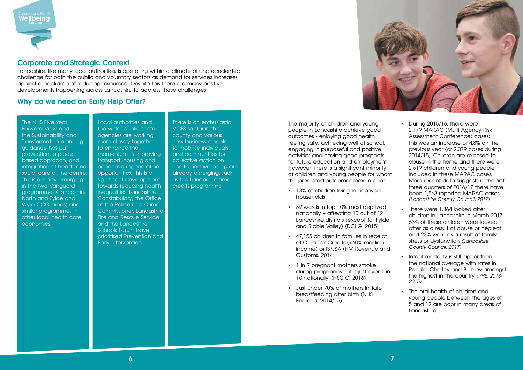#### **Corporate and Strategic Context**

Lancashire, like many local authorities, is operating within a climate of unprecedented challenge for both the public and voluntary sectors as demand for services increases against a backdrop of reducing resources. Despite this there are many positive developments happening across Lancashire to address these challenges.

### **Why do we need an Early Help Offer?**

The majority of children and young people in Lancashire achieve good outcomes - enjoying good health, feeling safe, achieving well at school, engaging in purposeful and positive activities and having good prospects for future education and employment. However, there is a significant minority of children and young people for whom the predicted outcomes remain poor:

- 18% of children living in deprived households
- 39 wards in top 10% most deprived nationally – affecting 10 out of 12 Lancashire districts (except for Fylde and Ribble Valley) (DCLG, 2015)
- 47,155 children in families in receipt of Child Tax Credits (<60% median income) or IS/JSA (HM Revenue and Customs, 2014)
- 1 in 7 pregnant mothers smoke during pregnancy – it is just over 1 in 10 nationally. (HSCIC, 2016)
- Just under 70% of mothers initiate breastfeeding after birth (NHS England, 2014/15)
- During 2015/16, there were 2,179 MARAC (Multi-Agency Risk Assessment Conference) cases; this was an increase of 4.8% on the previous year (or 2,079 cases during 2014/15). Children are exposed to abuse in the home and there were 2,519 children and young people included in these MARAC cases. More recent data suggests in the first three quarters of 2016/17 there have been 1,563 reported MARAC cases *(Lancashire County Council, 2017)*
- There were 1,864 looked after children in Lancashire in March 2017. 63% of these children were looked after as a result of abuse or neglect and 23% were as a result of family stress or dysfunction *(Lancashire County Council, 2017)*
- Infant mortality is still higher than the national average with rates in Pendle, Chorley and Burnley amongst the highest in the country *(PHE, 2013- 2015)*
- The oral health of children and young people between the ages of 5 and 12 are poor in many areas of Lancashire.



The NHS Five Year Forward View and the Sustainability and Transformation planning guidance has put prevention, a placebased approach, and integration of health and social care at the centre. This is already emerging in the two Vanguard programmes (Lancashire North and Fylde and Wyre CCG areas) and similar programmes in other local health care economies.

Local authorities and the wider public sector agencies are working more closely together to enhance the momentum in improving transport, housing and economic regeneration opportunities. This is a significant development towards reducing health inequalities. Lancashire Constabulary, the Office of the Police and Crime Commissioner, Lancashire Fire and Rescue Service and the Lancashire Schools Forum have prioritised Prevention and Early Intervention.

There is an enthusiastic VCFS sector in the county and various new business models to mobilise individuals and communities for collective action on health and wellbeing are already emerging, such as the Lancashire time credits programme.

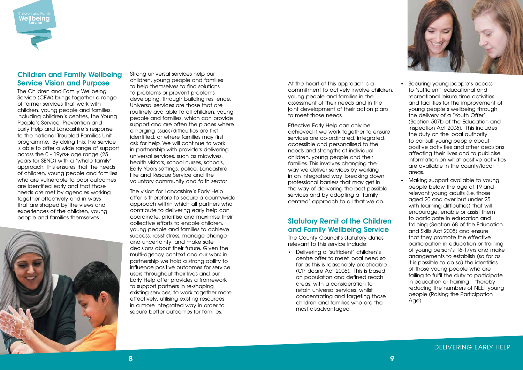#### **Children and Family Wellbeing Service Vision and Purpose**

The Children and Family Wellbeing Service (CFW) brings together a range of former services that work with children, young people and families, including children's centres, the Young People's Service, Prevention and Early Help and Lancashire's response to the national Troubled Families Unit programme. By doing this, the service is able to offer a wide range of support across the 0 - 19yrs+ age range (25 years for SEND) with a 'whole family' approach. This ensures that the needs of children, young people and families who are vulnerable to poor outcomes are identified early and that those needs are met by agencies working together effectively and in ways that are shaped by the views and experiences of the children, young people and families themselves.



Strong universal services help our children, young people and families to help themselves to find solutions to problems or prevent problems developing, through building resilience. Universal services are those that are routinely available to all children, young people and families, which can provide support and are often the places where emerging issues/difficulties are first identified, or where families may first ask for help. We will continue to work in partnership with providers delivering universal services, such as midwives, health visitors, school nurses, schools, Early Years settings, police, Lancashire Fire and Rescue Service and the voluntary community and faith sector.

The vision for Lancashire's Early Help offer is therefore to secure a countywide approach within which all partners who contribute to delivering early help can coordinate, prioritise and maximise their collective efforts to enable children, young people and families to achieve success, resist stress, manage change and uncertainty, and make safe decisions about their future. Given the multi-agency context and our work in partnership we hold a strong ability to influence positive outcomes for service users throughout their lives and our Early Help offer provides a framework to support partners in re-shaping existing services, to work together more effectively, utilising existing resources in a more integrated way in order to secure better outcomes for families.

Children and Family<br>**Wellbeing Service**

> At the heart of this approach is a commitment to actively involve children, young people and families in the assessment of their needs and in the joint development of their action plans to meet those needs.

Effective Early Help can only be achieved if we work together to ensure services are co-ordinated, integrated, accessible and personalised to the needs and strengths of individual children, young people and their families. This involves changing the way we deliver services by working in an integrated way, breaking down professional barriers that may get in the way of delivering the best possible services and by adopting a 'familycentred' approach to all that we do.

### **Statutory Remit of the Children and Family Wellbeing Service**

The County Council's statutory duties relevant to this service include:

• Delivering a 'sufficient' children's centre offer to meet local need so far as this is reasonably practicable (Childcare Act 2006). This is based on population and defined reach areas, with a consideration to retain universal services, whilst concentrating and targeting those children and families who are the most disadvantaged.

- Securing young people's access to 'sufficient' educational and recreational leisure time activities and facilities for the improvement of young people's wellbeing through the delivery of a 'Youth Offer' (Section 507b of the Education and Inspection Act 2006). This includes the duty on the local authority to consult young people about positive activities and other decisions affecting their lives and to publicise information on what positive activities are available in the county/local areas.
- Making support available to young people below the age of 19 and relevant young adults (i.e. those aged 20 and over but under 25 with learning difficulties) that will encourage, enable or assist them to participate in education and training (Section 68 of the Education and Skills Act 2008) and ensure that they promote the effective participation in education or training of young person's 16-17yrs and make arrangements to establish (so far as it is possible to do so) the identities of those young people who are failing to fulfil the duty to participate in education or training – thereby reducing the numbers of NEET young people (Raising the Participation Age).

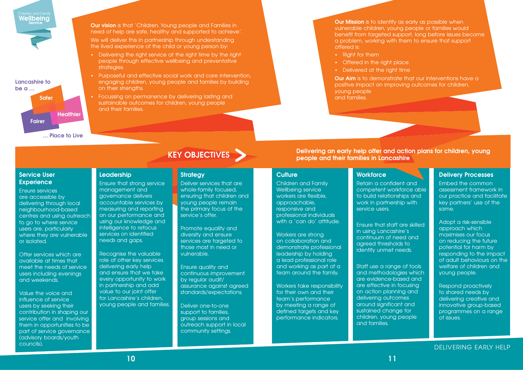

Children and Family Wellbeing service workers are flexible, approachable, responsive and professional individuals with a 'can do' attitude.

#### **Culture**

Workers are strong on collaboration and demonstrate professional leadership by holding a lead professional role and working as part of a team around the family.

Workers take responsibility for their own and their team's performance by meeting a range of defined targets and key performance indicators.

#### **Workforce**

Retain a confident and competent workforce able to build relationships and work in partnership with service users.

Ensure that staff are skilled in using Lancashire's continuum of need and agreed thresholds to identify unmet needs.

Staff use a range of tools and methodologies which are evidence-based and are effective in focusing on action planning and delivering outcomes around significant and sustained change for children, young people and families.

#### **Delivery Processes**

Embed the common assessment framework in our practice and facilitate key partners' use of the same.

We will deliver this in partnership through understanding the lived experience of the child or young person by:

> Adopt a risk-sensible approach which maximises our focus on reducing the future potential for harm by responding to the impact of adult behaviours on the welfare of children and young people.

Respond proactively to shared needs by delivering creative and innovative group-based programmes on a range of issues.

**Our Mission** is to identify as early as possible when vulnerable children, young people or families would benefit from targeted support, long before issues become a problem, working with them to ensure that support offered is:

**… Place to Live**

**Lancashire to be a … Safer Healthier Fairer**

- Right for them
- Offered in the right place
- Delivered at the right time

#### **Service User Experience**

- 
- **Our Aim** is to demonstrate that our interventions have a positive impact on improving outcomes for children,

Ensure services are accessible by delivering through local neighbourhood-based centres and using outreach to go to where service users are, particularly where they are vulnerable or isolated.

Offer services which are available at times that meet the needs of service users including evenings and weekends.

> Deliver one-to-one support to families, group sessions and outreach support in local community settings.

Value the voice and influence of service users by seeking their contribution in shaping our service offer and involving them in opportunities to be part of service governance (advisory boards/youth councils).

**Our vision** is that 'Children. Young people and Families in need of help are safe, healthy and supported to achieve'.

- Delivering the right service at the right time by the right people through effective wellbeing and preventative strategies.
- Purposeful and effective social work and care intervention, engaging children, young people and families by building on their strengths.
- Focussing on permanence by delivering lasting and sustainable outcomes for children, young people and their families.

young people and families.

**Delivering an early help offer and action plans for children, young KEY OBJECTIVES people and their families in Lancashire** 

#### **Strategy**

Deliver services that are whole-family focused, ensuring that children and young people remain the primary focus of the service's offer.

Promote equality and diversity and ensure services are targeted to those most in need or vulnerable.

Ensure quality and continuous improvement by regular audit/ assurance against agreed standards/expectations.

### **Leadership**

Ensure that strong service management and governance delivers accountable services by measuring and reporting on our performance and using our knowledge and intelligence to refocus services on identified needs and gaps.

Recognise the valuable role of other key services delivering early help and ensure that we take every opportunity to work in partnership and add value to our joint offer for Lancashire's children, young people and families.

#### DELIVERING EARLY HELP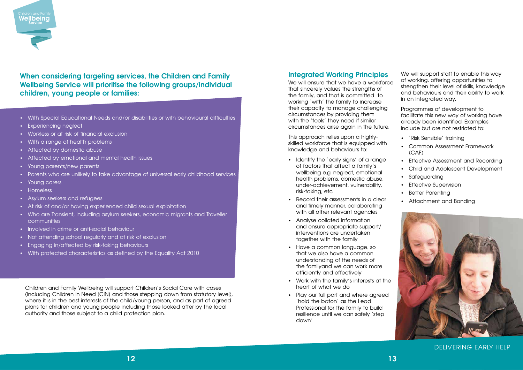- With Special Educational Needs and/or disabilities or with behavioural difficulties
- Experiencing neglect
- Workless or at risk of financial exclusion
- With a range of health problems
- Affected by domestic abuse
- Affected by emotional and mental health issues
- Young parents/new parents
- Parents who are unlikely to take advantage of universal early childhood services
- Young carers
- Homeless
- Asylum seekers and refugees
- At risk of and/or having experienced child sexual exploitation
- Who are Transient, including asylum seekers, economic migrants and Traveller communities
- Involved in crime or anti-social behaviour
- Not attending school regularly and at risk of exclusion
- Engaging in/affected by risk-taking behaviours
- With protected characteristics as defined by the Equality Act 2010

We will ensure that we have a workforce that sincerely values the strengths of the family, and that is committed to working 'with' the family to increase their capacity to manage challenging circumstances by providing them with the 'tools' they need if similar circumstances arise again in the future.

### **Integrated Working Principles**

This approach relies upon a highlyskilled workforce that is equipped with knowledge and behaviours to:

- Identify the 'early signs' of a range of factors that affect a family's wellbeing e.g. neglect, emotional health problems, domestic abuse, under-achievement, vulnerability, risk-taking, etc.
- Record their assessments in a clear and timely manner, collaborating with all other relevant agencies
- Analyse collated information and ensure appropriate support/ interventions are undertaken together with the family
- Have a common language, so that we also have a common understanding of the needs of the familyand we can work more efficiently and effectively
- Work with the family's interests at the heart of what we do
- Play our full part and where agreed 'hold the baton' as the Lead Professional for the family to build resilience until we can safely 'step down'

We will support staff to enable this way of working, offering opportunities to strengthen their level of skills, knowledge and behaviours and their ability to work in an integrated way.

Programmes of development to facilitate this new way of working have already been identified. Examples include but are not restricted to:

- 'Risk Sensible' training
- Common Assessment Framework  $(CAF)$
- Effective Assessment and Recording
- Child and Adolescent Development
- Safeguarding
- **Effective Supervision**
- **Better Parenting**
- Attachment and Bonding



#### DELIVERING EARLY HELP



**When considering targeting services, the Children and Family Wellbeing Service will prioritise the following groups/individual children, young people or families:** 

Children and Family Wellbeing will support Children's Social Care with cases (including Children in Need [CiN] and those stepping down from statutory level), where it is in the best interests of the child/young person, and as part of agreed plans for children and young people including those looked after by the local authority and those subject to a child protection plan.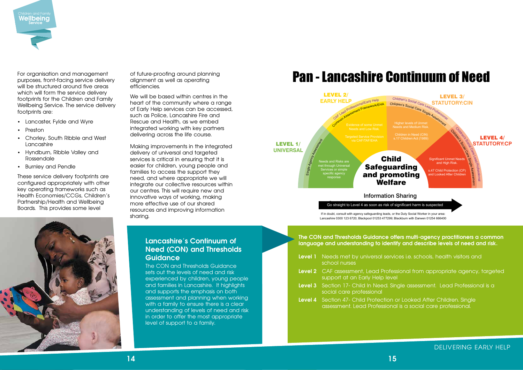For organisation and management purposes, front-facing service delivery will be structured around five areas which will form the service delivery footprints for the Children and Family Wellbeing Service. The service delivery footprints are:

- Lancaster, Fylde and Wyre
- Preston
- Chorley, South Ribble and West Lancashire
- Hyndburn, Ribble Valley and Rossendale
- Burnley and Pendle

We will be based within centres in the heart of the community where a range of Early Help services can be accessed, such as Police, Lancashire Fire and Rescue and Health, as we embed integrated working with key partners delivering across the life course.

These service delivery footprints are configured appropriately with other key operating frameworks such as Health Economies/CCGs, Children's Partnership/Health and Wellbeing Boards. This provides some level



of future-proofing around planning alignment as well as operating efficiencies.

Making improvements in the integrated delivery of universal and targeted services is critical in ensuring that it is easier for children, young people and families to access the support they need, and where appropriate we will integrate our collective resources within our centres. This will require new and innovative ways of working, making more effective use of our shared resources and improving information sharing.

DELIVERING EARLY HELP



lces i.e. schools, health visitors and

sional from appropriate agency, targeted

# Pan - Lancashire Continuum of Need

**Level After Children. Single** assessment. Lead Professional is a social care professional.

The CON and Thresholds Guidance sets out the levels of need and risk experienced by children, young people and families in Lancashire. It highlights and supports the emphasis on both assessment and planning when working with a family to ensure there is a clear understanding of levels of need and risk in order to offer the most appropriate level of support to a family.



#### Information Sharing

Go straight to Level 4 as soon as risk of significant harm is suspected Go straight to Level 4 as soon as risk of significant harm is suspected

If in doubt, consult with agency safeguarding leads, or the Duty Social Worker in your area: Lancashire 0300 123 6720; Blackpool 01253 477299; Blackburn with Darwen 01254 666400

#### **The CON and Thresholds Guidance offers multi-agency practitioners a common language and understanding to identify and describe levels of need and risk.**

| Level 1 Needs met by universal servic<br>school nurses                        |
|-------------------------------------------------------------------------------|
| <b>Level 2</b> CAF assessment, Lead Profess<br>support at an Early Help level |
| Level 3 Section 17- Child In Need. Sin<br>social care professional            |
| <b>Level 4</b> Section 47- Child Protection of                                |

**Level 3** Section 17- Child In Need. Single assessment. Lead Professional is a

#### **Lancashire's Continuum of Need (CON) and Thresholds Guidance**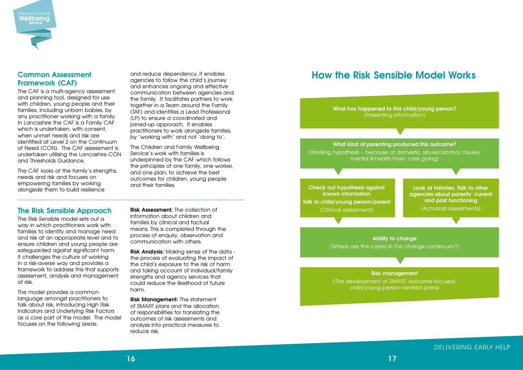### **Common Assessment Framework (CAF)**

The CAF is a multi-agency assessment and planning tool, designed for use with children, young people and their families, including unborn babies, by any practitioner working with a family. In Lancashire the CAF is a Family CAF which is undertaken, with consent, when unmet needs and risk are identified at Level 2 on the Continuum of Need (CON). The CAF assessment is undertaken utilising the Lancashire CON and Thresholds Guidance.

The CAF looks at the family's strengths, needs and risk and focuses on empowering families by working alongside them to build resilience

and reduce dependency. It enables agencies to follow the child's journey and enhances ongoing and effective communication between agencies and the family. It facilitates partners to work together in a Team around the Family (TAF) and identifies a Lead Professional (LP) to ensure a coordinated and joined-up approach. It enables practitioners to work alongside families, by 'working with' and not 'doing to'.

The Children and Family Wellbeing Service's work with families is underpinned by the CAF which follows the principles of one family, one worker, and one plan, to achieve the best outcomes for children, young people and their families.

#### **The Risk Sensible Approach**

The Risk Sensible model sets out a way in which practitioners work with families to identify and manage need and risk at an appropriate level and to ensure children and young people are safeguarded against significant harm. It challenges the culture of working in a risk-averse way and provides a framework to address this that supports assessment, analysis and management of risk.

The model provides a common language amongst practitioners to talk about risk, introducing High Risk Indicators and Underlying Risk Factors as a core part of the model. The model focuses on the following areas:

**Risk Assessment:** The collection of information about children and families by clinical and factual means. This is completed through the process of enquiry, observation and communication with others.

**Risk Analysis:** Making sense of the data the process of evaluating the impact of the child's exposure to the risk of harm and taking account of individual/family strengths and agency services that could reduce the likelihood of future harm.

**Risk Management:** The statement of SMART plans and the allocation of responsibilities for translating the outcomes of risk assessments and analysis into practical measures to reduce risk.

DELIVERING EARLY HELP



# **How the Risk Sensible Model Works**

**What has happened to this child/young person?** (Presenting information)

**What kind of parenting produced this outcome?**

(Working hypothesis – because of domestic abuse/alcohol misuse/ mental ill-health/toxic care giving)

> **Ability to change** (Where are the carers in the change continuum?)

# **Risk management**

(The development of SMART, outcome-focused, child/young person-centred plans)

**Check out hypothesis against known information Talk to child/young person/parent** (Clinical assessment)

**Look at histories. Talk to other agencies about parents' current and past functioning**

(Actuarial assessments)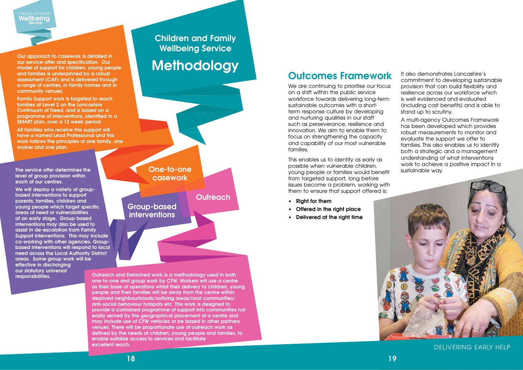# **Outcomes Framework**

We are continuing to prioritise our focus on a shift within the public service workforce towards delivering long-term sustainable outcomes with a shortterm response culture by developing and nurturing qualities in our staff such as perseverance, resilience and innovation. We aim to enable them to focus on strengthening the capacity and capability of our most vulnerable families.

This enables us to identify as early as possible when vulnerable children, young people or families would benefit from targeted support, long before issues become a problem, working with them to ensure that support offered is:

- **• Right for them**
- **• Offered in the right place**
- **• Delivered at the right time**



It also demonstrates Lancashire's commitment to developing sustainable provision that can build flexibility and resilience across our workforce which is well evidenced and evaluated (including cost benefits) and is able to stand up to scrutiny.

A multi-agency Outcomes Framework has been developed which provides robust measurements to monitor and evaluate the support we offer to families. This also enables us to identify both a strategic and a management understanding of what interventions work to achieve a positive impact in a sustainable way.



#### DELIVERING EARLY HELP



**Our approach to casework is detailed in our service offer and specification. Our model of support for children, young people and families is underpinned by a robust assessment (CAF) and is delivered through a range of centres, in family homes and in community venues.** 

**Family Support work is targeted to reach families at Level 2 on the Lancashire Continuum of Need, and is based on a programme of interventions, identified in a SMART plan, over a 12 week period.** 

**All families who receive this support will have a named Lead Professional and this work follows the principles of one family, one worker and one plan.**

**Methodology**

**Children and Family Wellbeing Service**

**The service offer determines the level of group provision within each of our centres.** 

**We will deploy a variety of groupbased interventions to support parents, families, children and young people which target specific areas of need or vulnerabilities at an early stage. Group-based interventions may also be used to assist in de-escalation from Family Support interventions. This may include co-working with other agencies. Groupbased interventions will respond to local need across the Local Authority District areas. Some group work will be effective in discharging our statutory universal** 

**responsibilities. Outreach and Detached work is a methodology used in both one-to-one and group work by CFW. Workers will use a centre as their base of operations whilst their delivery to children, young people and their families will be away from the centre within deprived neighbourhoods/outlying areas/rural communities/ anti-social behaviour hotspots etc. This work is designed to provide a contained programme of support into communities not easily served by the geographical placement of a centre and may include use of CFW vehicles or be based in other partners' venues. There will be proportionate use of outreach work as defined by the needs of children, young people and families, to enable suitable access to services and facilitate excellent reach.**

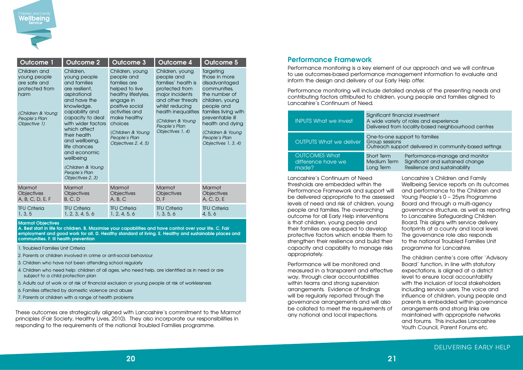These outcomes are strategically aligned with Lancashire's commitment to the Marmot principles (Fair Society, Healthy Lives, 2010). They also incorporate our responsibilities in responding to the requirements of the national Troubled Families programme.

#### **Performance Framework**

Performance monitoring is a key element of our approach and we will continue to use outcomes-based performance management information to evaluate and inform the design and delivery of our Early Help offer.

Performance monitoring will include detailed analysis of the presenting needs and contributing factors attributed to children, young people and families aligned to Lancashire's Continuum of Need.





nancial investment ety of roles and experience om locality-based neighbourhood centres

support to families Ipport delivered in community-based settings

Performance-manage and monitor m Sianificant and sustained change Resilience and sustainability

| <b>Outcome 1</b>                                                                                                             | <b>Outcome 2</b>                                                                                                                                                                                                                                                                                                               | <b>Outcome 3</b>                                                                                                                                                                                                                 | <b>Outcome 4</b>                                                                                                                                                                                                   | Outcome 5                                                                                                                                                                                                                                 |
|------------------------------------------------------------------------------------------------------------------------------|--------------------------------------------------------------------------------------------------------------------------------------------------------------------------------------------------------------------------------------------------------------------------------------------------------------------------------|----------------------------------------------------------------------------------------------------------------------------------------------------------------------------------------------------------------------------------|--------------------------------------------------------------------------------------------------------------------------------------------------------------------------------------------------------------------|-------------------------------------------------------------------------------------------------------------------------------------------------------------------------------------------------------------------------------------------|
| Children and<br>young people<br>are safe and<br>protected from<br>harm<br>(Children & Young<br>People's Plan<br>Objective 1) | Children,<br>young people<br>and families<br>are resilient,<br>aspirational<br>and have the<br>knowledge,<br>capability and<br>capacity to deal<br>with wider factors<br>which affect<br>their health<br>and wellbeing,<br>life chances<br>and economic<br>wellbeing<br>(Children & Young<br>People's Plan<br>Objectives 2, 3) | Children, young<br>people and<br>families are<br>helped to live<br>healthy lifestyles,<br>engage in<br>positive social<br>activities and<br>make healthy<br>choices<br>(Children & Young<br>People's Plan<br>Objectives 2, 4, 5) | Children, young<br>people and<br>families' health is<br>protected from<br>major incidents<br>and other threats<br>whilst reducing<br>health inequalities<br>(Children & Young<br>People's Plan<br>Objectives 1, 4) | Targeting<br>those in more<br>disadvantaged<br>communities,<br>the number of<br>children, young<br>people and<br>families living with<br>preventable ill<br>health and dying<br>(Children & Young<br>People's Plan<br>Objectives 1, 3, 4) |
| Marmot                                                                                                                       | Marmot                                                                                                                                                                                                                                                                                                                         | Marmot                                                                                                                                                                                                                           | <b>Marmot</b>                                                                                                                                                                                                      | Marmot                                                                                                                                                                                                                                    |
| <b>Objectives</b><br>A, B, C, D, E, F                                                                                        | <b>Objectives</b><br>B, C, D                                                                                                                                                                                                                                                                                                   | Objectives<br>A, B, C                                                                                                                                                                                                            | Objectives<br>D, F                                                                                                                                                                                                 | <b>Objectives</b><br>A, C, D, E                                                                                                                                                                                                           |
| <b>TFU Criteria</b><br>1, 3, 5                                                                                               | <b>TFU Criteria</b><br>1, 2, 3, 4, 5, 6                                                                                                                                                                                                                                                                                        | <b>TFU Criteria</b><br>1, 2, 4, 5, 6                                                                                                                                                                                             | <b>TFU Criteria</b><br>1, 3, 5, 6                                                                                                                                                                                  | <b>TFU Criteria</b><br>4, 5, 6                                                                                                                                                                                                            |

#### **Marmot Objectives**

**A. Best start in life for children. B. Maximise your capabilities and have control over your life. C. Fair employment and good work for all. D. Healthy standard of living. E. Healthy and sustainable places and communities. F. Ill health prevention** 

- 1. Troubled Families Unit Criteria
- 2. Parents or children involved in crime or anti-social behaviour
- 3. Children who have not been attending school regularly
- 4. Children who need help: children of all ages, who need help, are identified as in need or are subject to a child protection plan
- 5. Adults out of work or at risk of financial exclusion or young people at risk of worklessness
- 6. Families affected by domestic violence and abuse
- 7. Parents or children with a range of health problems

Lancashire's Continuum of Need thresholds are embedded within the Performance Framework and support will be delivered appropriate to the assessed levels of need and risk of children, young people and families. The overarching outcome for all Early Help interventions is that children, young people and their families are equipped to develop protective factors which enable them to strengthen their resilience and build their capacity and capability to manage risks appropriately.

Performance will be monitored and measured in a transparent and effective way, through clear accountabilities within teams and strong supervision arrangements. Evidence of findings will be regularly reported through the governance arrangements and will also be collated to meet the requirements of any national and local inspections.

Lancashire's Children and Family Wellbeing Service reports on its outcomes and performance to the Children and Young People's 0 – 25yrs Programme Board and through a multi-agency governance structure, as well as reporting to Lancashire Safeguarding Children Board. This aligns with service delivery footprints at a county and local level. The governance role also responds to the national Troubled Families Unit programme for Lancashire.

The children centre's core offer 'Advisory Board' function, in line with statutory expectations, is aligned at a district level to ensure local accountability with the inclusion of local stakeholders including service users. The voice and influence of children, young people and parents is embedded within governance arrangements and strong links are maintained with appropriate networks and forums. This includes Lancashire Youth Council, Parent Forums etc.

| <b>INPUTS What we invest</b>                        | Significant fina<br>A wide variety<br>Delivered from |
|-----------------------------------------------------|------------------------------------------------------|
| <b>OUTPUTS What we deliver</b>                      | One-to-one su<br>Group sessions<br>Outreach supp     |
| <b>OUTCOMES What</b><br>difference have we<br>made? | <b>Short Term</b><br>Medium Term<br>Long Term        |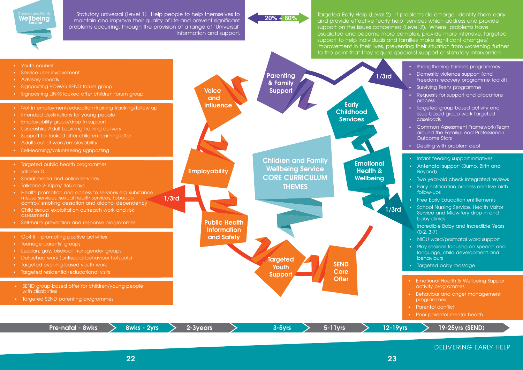Targeted Early Help (Level 2). If problems do emerge, identify them early and provide effective 'early help' services which address and provide support on the issues concerned (Level 2). Where problems have escalated and become more complex, provide more intensive, targeted support to help individuals and families make significant changes/ improvement in their lives, preventing their situation from worsening further to the point that they require specialist support or statutory intervention.

Statutory universal (Level 1). Help people to help themselves to maintain and improve their quality of life and prevent significant problems occurring, through the provision of a range of 'Universal' information and support. Children and Family<br>**Wellbeing** 

**Service**

| <b>IS</b> | 19-25yrs (SEND)                                                                   |
|-----------|-----------------------------------------------------------------------------------|
| ٠         | Poor parental mental health                                                       |
| ٠         | <b>Parental conflict</b>                                                          |
| ٠         | Behaviour and anger management<br>programmes                                      |
|           | activity programmes                                                               |
| $\bullet$ | Emotional Health & Wellbeing Support                                              |
| $\bullet$ | Targeted baby massage                                                             |
|           | behaviours                                                                        |
| $\bullet$ | Play sessions focusing on speech and<br>language, child development and           |
| $\bullet$ | NICU ward/postnatal ward support                                                  |
|           | Incredible Baby and Incredible Years<br>$(0-2, 3-7)$                              |
|           | baby clinics                                                                      |
| $\bullet$ | School Nursing Service, Health Visitor<br>Service and Midwifery drop-in and       |
| $\bullet$ | <b>Free Early Education entitlements</b>                                          |
|           | follow-ups                                                                        |
| $\bullet$ | Early notification process and live birth                                         |
| $\bullet$ | Beyond)<br>Two year-old check integrated reviews                                  |
| $\bullet$ | Antenatal support (Bump, Birth and                                                |
| $\bullet$ | Infant feeding support initiatives                                                |
| $\bullet$ | Dealing with problem debt                                                         |
|           | <b>Outcome Stars</b>                                                              |
| $\bullet$ | Common Assessment Framework/Team<br>around the Family/Lead Professional/          |
| $\bullet$ | Targeted group-based activity and<br>issue-based group work targeted<br>caseloads |
| $\bullet$ | Requests for support and allocations<br>process                                   |
| $\bullet$ | Surviving Teens programme                                                         |
|           | Freedom recovery programme toolkit)                                               |
| $\bullet$ | Domestic violence support (and                                                    |
| $\bullet$ | Strengthening families programmes                                                 |



## **20% + 80%**